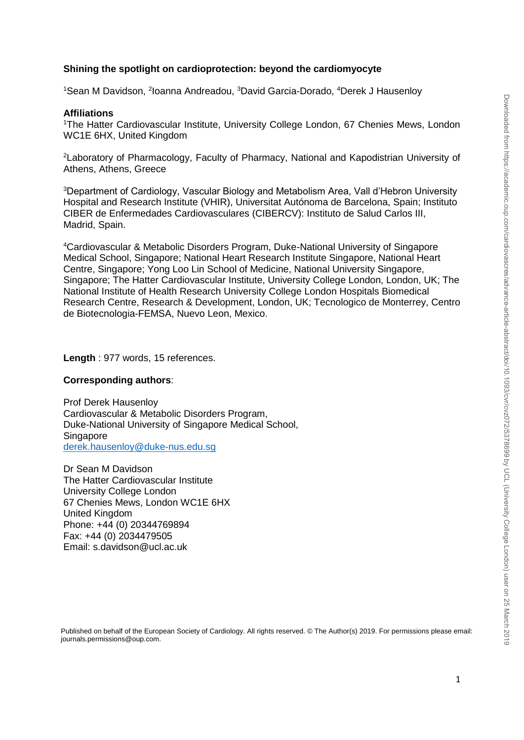### **Shining the spotlight on cardioprotection: beyond the cardiomyocyte**

<sup>1</sup>Sean M Davidson, <sup>2</sup>loanna Andreadou, <sup>3</sup>David Garcia-Dorado, <sup>4</sup>Derek J Hausenloy

#### **Affiliations**

<sup>1</sup>The Hatter Cardiovascular Institute, University College London, 67 Chenies Mews, London WC1E 6HX, United Kingdom

<sup>2</sup>Laboratory of Pharmacology, Faculty of Pharmacy, National and Kapodistrian University of Athens, Athens, Greece

<sup>3</sup>Department of Cardiology, Vascular Biology and Metabolism Area, Vall d'Hebron University Hospital and Research Institute (VHIR), Universitat Autónoma de Barcelona, Spain; Instituto CIBER de Enfermedades Cardiovasculares (CIBERCV): Instituto de Salud Carlos III, Madrid, Spain.

<sup>4</sup>Cardiovascular & Metabolic Disorders Program, Duke-National University of Singapore Medical School, Singapore; National Heart Research Institute Singapore, National Heart Centre, Singapore; Yong Loo Lin School of Medicine, National University Singapore, Singapore; The Hatter Cardiovascular Institute, University College London, London, UK; The National Institute of Health Research University College London Hospitals Biomedical Research Centre, Research & Development, London, UK; Tecnologico de Monterrey, Centro de Biotecnologia-FEMSA, Nuevo Leon, Mexico.

#### **Length** : 977 words, 15 references.

#### **Corresponding authors**:

Prof Derek Hausenloy Cardiovascular & Metabolic Disorders Program, Duke-National University of Singapore Medical School, **Singapore** [derek.hausenloy@duke-nus.edu.sg](mailto:derek.hausenloy@duke-nus.edu.sg)

Dr Sean M Davidson The Hatter Cardiovascular Institute University College London 67 Chenies Mews, London WC1E 6HX United Kingdom Phone: +44 (0) 20344769894 Fax: +44 (0) 2034479505 Email: s.davidson@ucl.ac.uk

Published on behalf of the European Society of Cardiology. All rights reserved. © The Author(s) 2019. For permissions please email: journals.permissions@oup.com.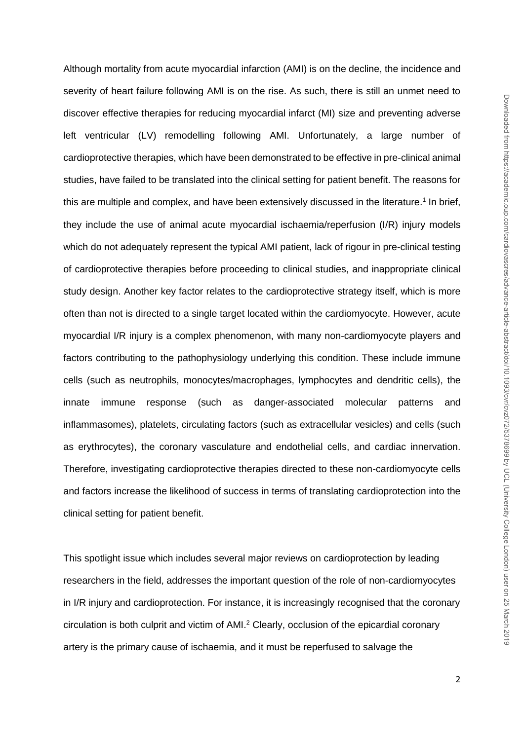Although mortality from acute myocardial infarction (AMI) is on the decline, the incidence and severity of heart failure following AMI is on the rise. As such, there is still an unmet need to discover effective therapies for reducing myocardial infarct (MI) size and preventing adverse left ventricular (LV) remodelling following AMI. Unfortunately, a large number of cardioprotective therapies, which have been demonstrated to be effective in pre-clinical animal studies, have failed to be translated into the clinical setting for patient benefit. The reasons for this are multiple and complex, and have been extensively discussed in the literature.<sup>1</sup> In brief, they include the use of animal acute myocardial ischaemia/reperfusion (I/R) injury models which do not adequately represent the typical AMI patient, lack of rigour in pre-clinical testing of cardioprotective therapies before proceeding to clinical studies, and inappropriate clinical study design. Another key factor relates to the cardioprotective strategy itself, which is more often than not is directed to a single target located within the cardiomyocyte. However, acute myocardial I/R injury is a complex phenomenon, with many non-cardiomyocyte players and factors contributing to the pathophysiology underlying this condition. These include immune cells (such as neutrophils, monocytes/macrophages, lymphocytes and dendritic cells), the innate immune response (such as danger-associated molecular patterns and inflammasomes), platelets, circulating factors (such as extracellular vesicles) and cells (such as erythrocytes), the coronary vasculature and endothelial cells, and cardiac innervation. Therefore, investigating cardioprotective therapies directed to these non-cardiomyocyte cells and factors increase the likelihood of success in terms of translating cardioprotection into the clinical setting for patient benefit.

This spotlight issue which includes several major reviews on cardioprotection by leading researchers in the field, addresses the important question of the role of non-cardiomyocytes in I/R injury and cardioprotection. For instance, it is increasingly recognised that the coronary circulation is both culprit and victim of  $AMI<sup>2</sup>$  Clearly, occlusion of the epicardial coronary artery is the primary cause of ischaemia, and it must be reperfused to salvage the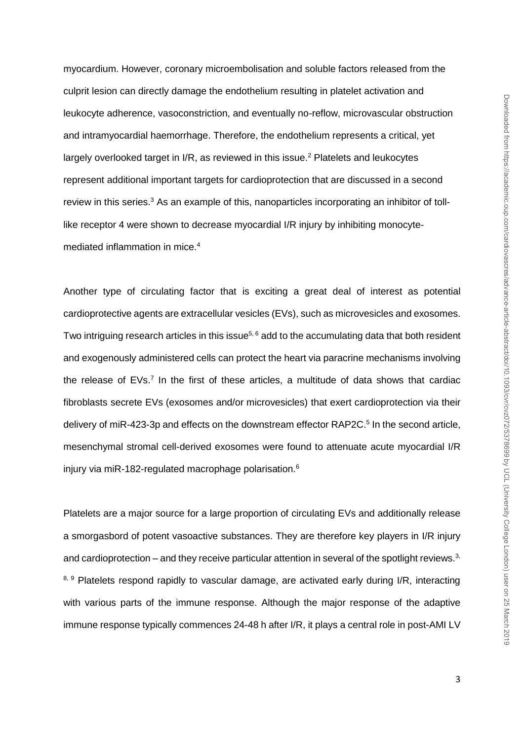myocardium. However, coronary microembolisation and soluble factors released from the culprit lesion can directly damage the endothelium resulting in platelet activation and leukocyte adherence, vasoconstriction, and eventually no-reflow, microvascular obstruction and intramyocardial haemorrhage. Therefore, the endothelium represents a critical, yet largely overlooked target in I/R, as reviewed in this issue.<sup>2</sup> Platelets and leukocytes represent additional important targets for cardioprotection that are discussed in a second review in this series.<sup>3</sup> As an example of this, nanoparticles incorporating an inhibitor of tolllike receptor 4 were shown to decrease myocardial I/R injury by inhibiting monocytemediated inflammation in mice.<sup>4</sup>

Another type of circulating factor that is exciting a great deal of interest as potential cardioprotective agents are extracellular vesicles (EVs), such as microvesicles and exosomes. Two intriguing research articles in this issue<sup>5, 6</sup> add to the accumulating data that both resident and exogenously administered cells can protect the heart via paracrine mechanisms involving the release of  $EVs.<sup>7</sup>$  In the first of these articles, a multitude of data shows that cardiac fibroblasts secrete EVs (exosomes and/or microvesicles) that exert cardioprotection via their delivery of miR-423-3p and effects on the downstream effector RAP2C.<sup>5</sup> In the second article, mesenchymal stromal cell-derived exosomes were found to attenuate acute myocardial I/R injury via miR-182-regulated macrophage polarisation.<sup>6</sup>

Platelets are a major source for a large proportion of circulating EVs and additionally release a smorgasbord of potent vasoactive substances. They are therefore key players in I/R injury and cardioprotection – and they receive particular attention in several of the spotlight reviews.<sup>3,</sup>  $8, 9$  Platelets respond rapidly to vascular damage, are activated early during I/R, interacting with various parts of the immune response. Although the major response of the adaptive immune response typically commences 24-48 h after I/R, it plays a central role in post-AMI LV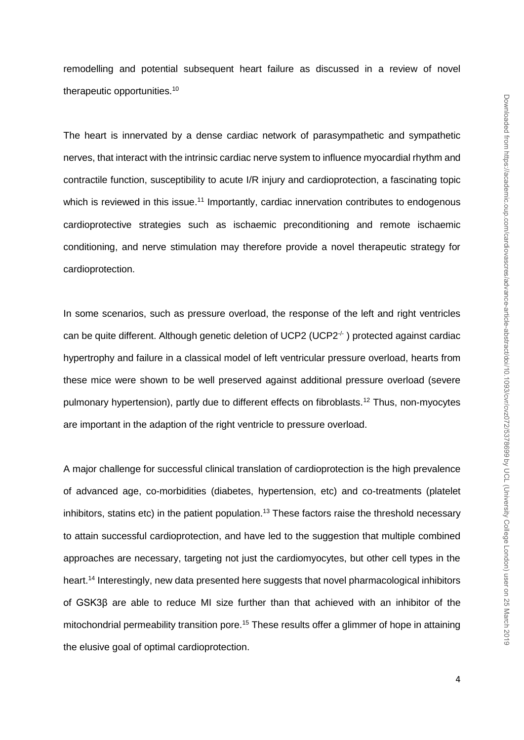remodelling and potential subsequent heart failure as discussed in a review of novel therapeutic opportunities.<sup>10</sup>

The heart is innervated by a dense cardiac network of parasympathetic and sympathetic nerves, that interact with the intrinsic cardiac nerve system to influence myocardial rhythm and contractile function, susceptibility to acute I/R injury and cardioprotection, a fascinating topic which is reviewed in this issue.<sup>11</sup> Importantly, cardiac innervation contributes to endogenous cardioprotective strategies such as ischaemic preconditioning and remote ischaemic conditioning, and nerve stimulation may therefore provide a novel therapeutic strategy for cardioprotection.

In some scenarios, such as pressure overload, the response of the left and right ventricles can be quite different. Although genetic deletion of UCP2 (UCP2<sup>-/-</sup>) protected against cardiac hypertrophy and failure in a classical model of left ventricular pressure overload, hearts from these mice were shown to be well preserved against additional pressure overload (severe pulmonary hypertension), partly due to different effects on fibroblasts.<sup>12</sup> Thus, non-myocytes are important in the adaption of the right ventricle to pressure overload.

A major challenge for successful clinical translation of cardioprotection is the high prevalence of advanced age, co-morbidities (diabetes, hypertension, etc) and co-treatments (platelet inhibitors, statins etc) in the patient population.<sup>13</sup> These factors raise the threshold necessary to attain successful cardioprotection, and have led to the suggestion that multiple combined approaches are necessary, targeting not just the cardiomyocytes, but other cell types in the heart.<sup>14</sup> Interestingly, new data presented here suggests that novel pharmacological inhibitors of GSK3β are able to reduce MI size further than that achieved with an inhibitor of the mitochondrial permeability transition pore.<sup>15</sup> These results offer a glimmer of hope in attaining the elusive goal of optimal cardioprotection.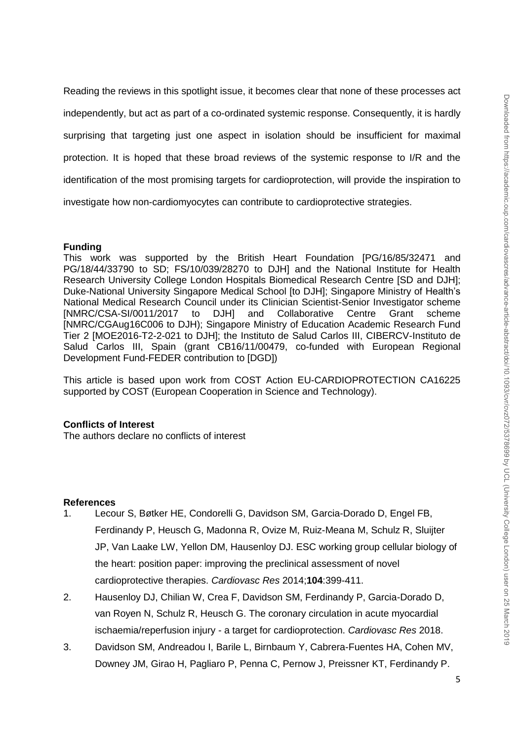Reading the reviews in this spotlight issue, it becomes clear that none of these processes act independently, but act as part of a co-ordinated systemic response. Consequently, it is hardly surprising that targeting just one aspect in isolation should be insufficient for maximal protection. It is hoped that these broad reviews of the systemic response to I/R and the identification of the most promising targets for cardioprotection, will provide the inspiration to investigate how non-cardiomyocytes can contribute to cardioprotective strategies.

# **Funding**

This work was supported by the British Heart Foundation [PG/16/85/32471 and PG/18/44/33790 to SD; FS/10/039/28270 to DJH] and the National Institute for Health Research University College London Hospitals Biomedical Research Centre [SD and DJH]; Duke-National University Singapore Medical School [to DJH]; Singapore Ministry of Health's National Medical Research Council under its Clinician Scientist-Senior Investigator scheme [NMRC/CSA-SI/0011/2017 to DJH] and Collaborative Centre Grant scheme [NMRC/CGAug16C006 to DJH); Singapore Ministry of Education Academic Research Fund Tier 2 [MOE2016-T2-2-021 to DJH]; the Instituto de Salud Carlos III, CIBERCV-Instituto de Salud Carlos III, Spain (grant CB16/11/00479, co-funded with European Regional Development Fund-FEDER contribution to [DGD])

This article is based upon work from COST Action EU-CARDIOPROTECTION CA16225 supported by COST (European Cooperation in Science and Technology).

# **Conflicts of Interest**

The authors declare no conflicts of interest

### **References**

- 1. Lecour S, Bøtker HE, Condorelli G, Davidson SM, Garcia-Dorado D, Engel FB, Ferdinandy P, Heusch G, Madonna R, Ovize M, Ruiz-Meana M, Schulz R, Sluijter JP, Van Laake LW, Yellon DM, Hausenloy DJ. ESC working group cellular biology of the heart: position paper: improving the preclinical assessment of novel cardioprotective therapies. *Cardiovasc Res* 2014;**104**:399-411.
- 2. Hausenloy DJ, Chilian W, Crea F, Davidson SM, Ferdinandy P, Garcia-Dorado D, van Royen N, Schulz R, Heusch G. The coronary circulation in acute myocardial ischaemia/reperfusion injury - a target for cardioprotection. *Cardiovasc Res* 2018.
- 3. Davidson SM, Andreadou I, Barile L, Birnbaum Y, Cabrera-Fuentes HA, Cohen MV, Downey JM, Girao H, Pagliaro P, Penna C, Pernow J, Preissner KT, Ferdinandy P.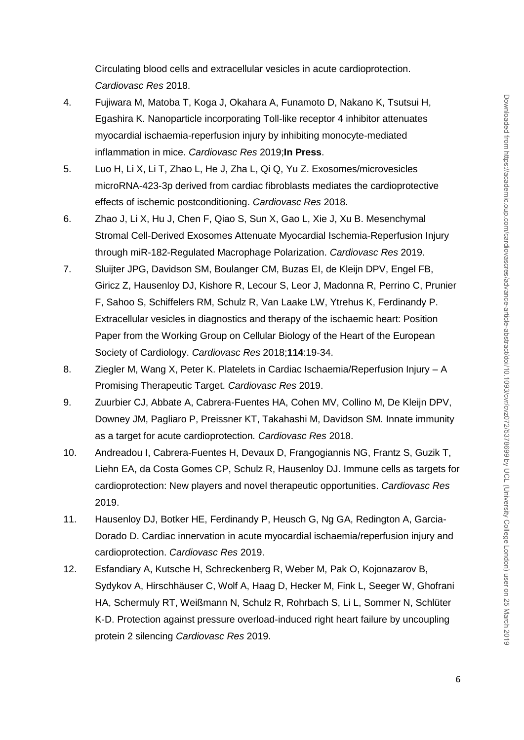Circulating blood cells and extracellular vesicles in acute cardioprotection. *Cardiovasc Res* 2018.

- 4. Fujiwara M, Matoba T, Koga J, Okahara A, Funamoto D, Nakano K, Tsutsui H, Egashira K. Nanoparticle incorporating Toll-like receptor 4 inhibitor attenuates myocardial ischaemia-reperfusion injury by inhibiting monocyte-mediated inflammation in mice. *Cardiovasc Res* 2019;**In Press**.
- 5. Luo H, Li X, Li T, Zhao L, He J, Zha L, Qi Q, Yu Z. Exosomes/microvesicles microRNA-423-3p derived from cardiac fibroblasts mediates the cardioprotective effects of ischemic postconditioning. *Cardiovasc Res* 2018.
- 6. Zhao J, Li X, Hu J, Chen F, Qiao S, Sun X, Gao L, Xie J, Xu B. Mesenchymal Stromal Cell-Derived Exosomes Attenuate Myocardial Ischemia-Reperfusion Injury through miR-182-Regulated Macrophage Polarization. *Cardiovasc Res* 2019.
- 7. Sluijter JPG, Davidson SM, Boulanger CM, Buzas EI, de Kleijn DPV, Engel FB, Giricz Z, Hausenloy DJ, Kishore R, Lecour S, Leor J, Madonna R, Perrino C, Prunier F, Sahoo S, Schiffelers RM, Schulz R, Van Laake LW, Ytrehus K, Ferdinandy P. Extracellular vesicles in diagnostics and therapy of the ischaemic heart: Position Paper from the Working Group on Cellular Biology of the Heart of the European Society of Cardiology. *Cardiovasc Res* 2018;**114**:19-34.
- 8. Ziegler M, Wang X, Peter K. Platelets in Cardiac Ischaemia/Reperfusion Injury A Promising Therapeutic Target. *Cardiovasc Res* 2019.
- 9. Zuurbier CJ, Abbate A, Cabrera-Fuentes HA, Cohen MV, Collino M, De Kleijn DPV, Downey JM, Pagliaro P, Preissner KT, Takahashi M, Davidson SM. Innate immunity as a target for acute cardioprotection. *Cardiovasc Res* 2018.
- 10. Andreadou I, Cabrera-Fuentes H, Devaux D, Frangogiannis NG, Frantz S, Guzik T, Liehn EA, da Costa Gomes CP, Schulz R, Hausenloy DJ. Immune cells as targets for cardioprotection: New players and novel therapeutic opportunities. *Cardiovasc Res*  2019.
- 11. Hausenloy DJ, Botker HE, Ferdinandy P, Heusch G, Ng GA, Redington A, Garcia-Dorado D. Cardiac innervation in acute myocardial ischaemia/reperfusion injury and cardioprotection. *Cardiovasc Res* 2019.
- 12. Esfandiary A, Kutsche H, Schreckenberg R, Weber M, Pak O, Kojonazarov B, Sydykov A, Hirschhäuser C, Wolf A, Haag D, Hecker M, Fink L, Seeger W, Ghofrani HA, Schermuly RT, Weißmann N, Schulz R, Rohrbach S, Li L, Sommer N, Schlüter K-D. Protection against pressure overload-induced right heart failure by uncoupling protein 2 silencing *Cardiovasc Res* 2019.